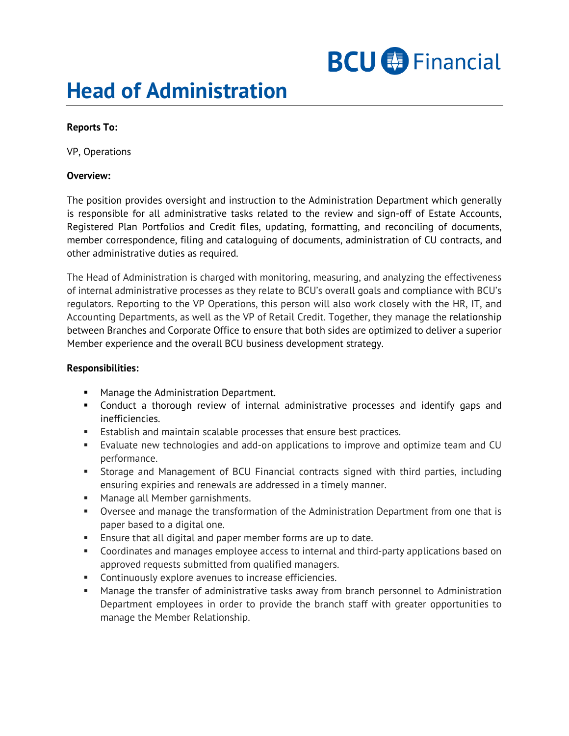# **Head of Administration**

## **Reports To:**

VP, Operations

### **Overview:**

The position provides oversight and instruction to the Administration Department which generally is responsible for all administrative tasks related to the review and sign-off of Estate Accounts, Registered Plan Portfolios and Credit files, updating, formatting, and reconciling of documents, member correspondence, filing and cataloguing of documents, administration of CU contracts, and other administrative duties as required.

The Head of Administration is charged with monitoring, measuring, and analyzing the effectiveness of internal administrative processes as they relate to BCU's overall goals and compliance with BCU's regulators. Reporting to the VP Operations, this person will also work closely with the HR, IT, and Accounting Departments, as well as the VP of Retail Credit. Together, they manage the relationship between Branches and Corporate Office to ensure that both sides are optimized to deliver a superior Member experience and the overall BCU business development strategy.

### **Responsibilities:**

- **Manage the Administration Department.**
- Conduct a thorough review of internal administrative processes and identify gaps and inefficiencies.
- **Establish and maintain scalable processes that ensure best practices.**
- Evaluate new technologies and add-on applications to improve and optimize team and CU performance.
- Storage and Management of BCU Financial contracts signed with third parties, including ensuring expiries and renewals are addressed in a timely manner.
- **Manage all Member garnishments.**
- Oversee and manage the transformation of the Administration Department from one that is paper based to a digital one.
- **Ensure that all digital and paper member forms are up to date.**
- Coordinates and manages employee access to internal and third-party applications based on approved requests submitted from qualified managers.
- **Continuously explore avenues to increase efficiencies.**
- Manage the transfer of administrative tasks away from branch personnel to Administration Department employees in order to provide the branch staff with greater opportunities to manage the Member Relationship.